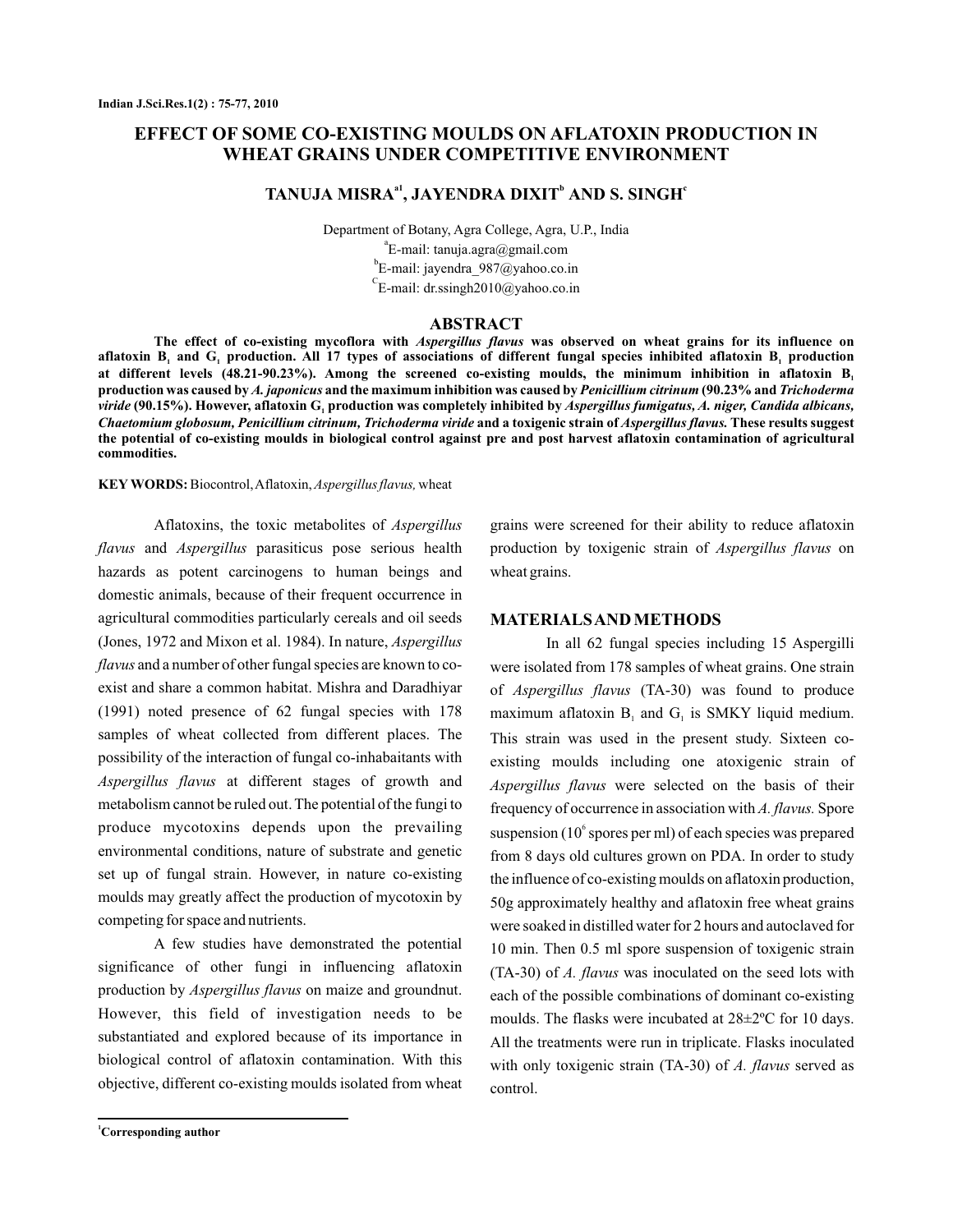# **EFFECT OF SOME CO-EXISTING MOULDS ON AFLATOXIN PRODUCTION IN WHEAT GRAINS UNDER COMPETITIVE ENVIRONMENT**

## TANUJA MISRA<sup>a1</sup>, JAYENDRA DIXIT<sup>b</sup> AND S. SINGH<sup>c</sup>

Department of Botany, Agra College, Agra, U.P., India <sup>a</sup>E-mail: tanuja.agra@gmail.com <sup>b</sup>E-mail: jayendra\_987@yahoo.co.in  ${}^{\text{c}}$ E-mail: dr.ssingh2010@yahoo.co.in

### **ABSTRACT**

The effect of co-existing mycoflora with *Aspergillus flavus* was observed on wheat grains for its influence on aflatoxin  $B_i$  and  $G_i$  production. All 17 types of associations of different fungal species inhibited aflatoxin  $B_i$  production **at different levels (48.21-90.23%). Among the screened co-existing moulds, the minimum inhibition in aflatoxin B 1** production was caused by *A. japonicus* and the maximum inhibition was caused by *Penicillium citrinum* (90.23% and *Trichoderma* viride (90.15%). However, aflatoxin G<sub>1</sub> production was completely inhibited by *Aspergillus fumigatus, A. niger, Candida albicans, Chaetomium globosum, Penicillium citrinum, Trichoderma viride* and a toxigenic strain of *Aspergillus flavus*. These results suggest **the potential of co-existing moulds in biological control against pre and post harvest aflatoxin contamination of agricultural commodities.**

#### KEY WORDS: Biocontrol, Aflatoxin, *Aspergillus flavus*, wheat

Aflatoxins, the toxic metabolites of *Aspergillus* flavus and Aspergillus parasiticus pose serious health hazards as potent carcinogens to human beings and domestic animals, because of their frequent occurrence in agricultural commodities particularly cereals and oil seeds (Jones, 1972 and Mixon et al. 1984). In nature, *Aspergillus* flavus and a number of other fungal species are known to coexist and share a common habitat. Mishra and Daradhiyar (1991) noted presence of 62 fungal species with 178 samples of wheat collected from different places. The possibility of the interaction of fungal co-inhabaitants with Aspergillus flavus at different stages of growth and metabolism cannot be ruled out. The potential of the fungi to produce mycotoxins depends upon the prevailing environmental conditions, nature of substrate and genetic set up of fungal strain. However, in nature co-existing moulds may greatly affect the production of mycotoxin by competing for space and nutrients.

A few studies have demonstrated the potential significance of other fungi in influencing aflatoxin production by *Aspergillus flavus* on maize and groundnut. However, this field of investigation needs to be substantiated and explored because of its importance in biological control of aflatoxin contamination. With this objective, different co-existing moulds isolated from wheat grains were screened for their ability to reduce aflatoxin production by toxigenic strain of Aspergillus flavus on wheat grains.

### **MATERIALSAND METHODS**

In all 62 fungal species including 15 Aspergilli were isolated from 178 samples of wheat grains. One strain of Aspergillus flavus (TA-30) was found to produce maximum aflatoxin  $B_1$  and  $G_1$  is SMKY liquid medium. This strain was used in the present study. Sixteen coexisting moulds including one atoxigenic strain of Aspergillus flavus were selected on the basis of their frequency of occurrence in association with A. flavus. Spore suspension ( $10^{\circ}$  spores per ml) of each species was prepared from 8 days old cultures grown on PDA. In order to study the influence of co-existing moulds on aflatoxin production, 50g approximately healthy and aflatoxin free wheat grains were soaked in distilled water for 2 hours and autoclaved for 10 min. Then 0.5 ml spore suspension of toxigenic strain (TA-30) of A. flavus was inoculated on the seed lots with each of the possible combinations of dominant co-existing moulds. The flasks were incubated at 28±2ºC for 10 days. All the treatments were run in triplicate. Flasks inoculated with only toxigenic strain (TA-30) of A. flavus served as control.

**<sup>1</sup>Corresponding author**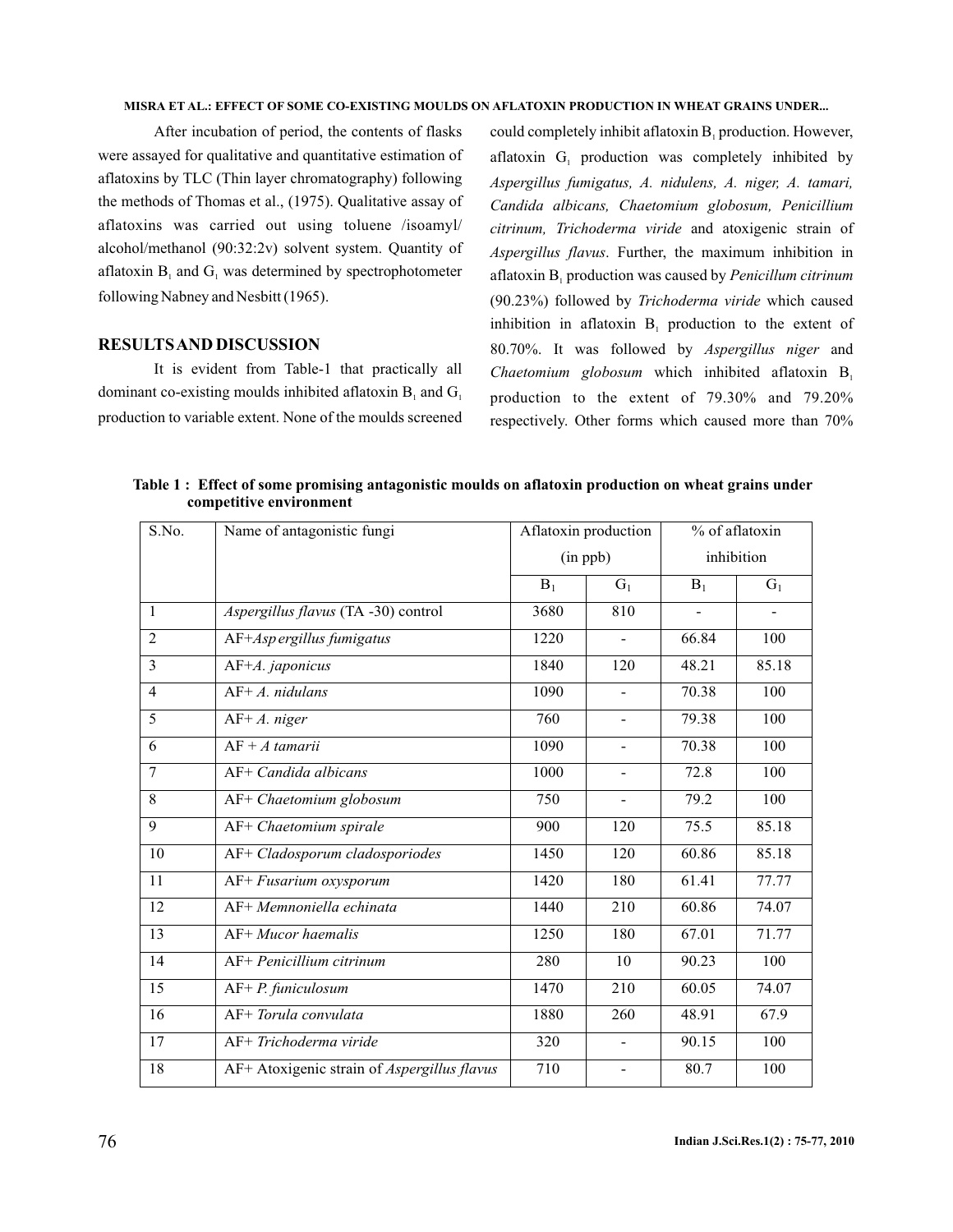#### **MISRA ET AL.: EFFECT OF SOME CO-EXISTING MOULDS ON AFLATOXIN PRODUCTION IN WHEAT GRAINS UNDER...**

After incubation of period, the contents of flasks were assayed for qualitative and quantitative estimation of aflatoxins by TLC (Thin layer chromatography) following the methods of Thomas et al., (1975). Qualitative assay of aflatoxins was carried out using toluene /isoamyl/ alcohol/methanol (90:32:2v) solvent system. Quantity of aflatoxin  $B_1$  and  $G_1$  was determined by spectrophotometer following Nabney and Nesbitt (1965).

### **RESULTSAND DISCUSSION**

It is evident from Table-1 that practically all dominant co-existing moulds inhibited aflatoxin  $B_1$  and  $G_1$ production to variable extent. None of the moulds screened

could completely inhibit aflatoxin  $B_1$  production. However, aflatoxin  $G_1$  production was completely inhibited by citrinum, Trichoderma viride and atoxigenic strain of Aspergillus flavus. Further, the maximum inhibition in aflatoxin B<sub>1</sub> production was caused by *Penicillum citrinum* (90.23%) followed by Trichoderma viride which caused inhibition in aflatoxin  $B_1$  production to the extent of 80.70%. It was followed by Aspergillus niger and *Chaetomium globosum* which inhibited aflatoxin  $B_1$ production to the extent of 79.30% and 79.20% respectively. Other forms which caused more than 70% *Aspergillus fumigatus, A. nidulens, A. niger, A. tamari, Candida albicans, Chaetomium globosum, Penicillium*

**Table 1 : Effect of some promising antagonistic moulds on aflatoxin production on wheat grains under competitive environment**

| S.No.          | Name of antagonistic fungi                  | Aflatoxin production<br>(in ppb) |                          | % of aflatoxin<br>inhibition |       |
|----------------|---------------------------------------------|----------------------------------|--------------------------|------------------------------|-------|
|                |                                             |                                  |                          |                              |       |
|                |                                             | $B_1$                            | $G_1$                    | $B_1$                        | $G_1$ |
| $\mathbf{1}$   | Aspergillus flavus (TA -30) control         | 3680                             | 810                      |                              |       |
| 2              | AF+Asp ergillus fumigatus                   | 1220                             |                          | 66.84                        | 100   |
| 3              | AF+A. japonicus                             | 1840                             | 120                      | 48.21                        | 85.18 |
| $\overline{4}$ | $AF + A$ , nidulans                         | 1090                             | $\overline{\phantom{a}}$ | 70.38                        | 100   |
| 5              | $AF+ A. niger$                              | 760                              |                          | 79.38                        | 100   |
| 6              | $AF + A$ tamarii                            | 1090                             |                          | 70.38                        | 100   |
| 7              | AF+ Candida albicans                        | 1000                             |                          | 72.8                         | 100   |
| 8              | AF+ Chaetomium globosum                     | 750                              | $\blacksquare$           | 79.2                         | 100   |
| 9              | AF+ Chaetomium spirale                      | 900                              | 120                      | 75.5                         | 85.18 |
| 10             | AF+ Cladosporum cladosporiodes              | 1450                             | 120                      | 60.86                        | 85.18 |
| 11             | AF+ Fusarium oxysporum                      | 1420                             | 180                      | 61.41                        | 77.77 |
| 12             | AF+ Memnoniella echinata                    | 1440                             | 210                      | 60.86                        | 74.07 |
| 13             | $AF+$ Mucor haemalis                        | 1250                             | 180                      | 67.01                        | 71.77 |
| 14             | $AF+ Penicillium citrinum$                  | 280                              | 10                       | 90.23                        | 100   |
| 15             | AF+ P. funiculosum                          | 1470                             | 210                      | 60.05                        | 74.07 |
| 16             | AF+ Torula convulata                        | 1880                             | 260                      | 48.91                        | 67.9  |
| 17             | AF+ Trichoderma viride                      | 320                              |                          | 90.15                        | 100   |
| 18             | AF+ Atoxigenic strain of Aspergillus flavus | 710                              |                          | 80.7                         | 100   |